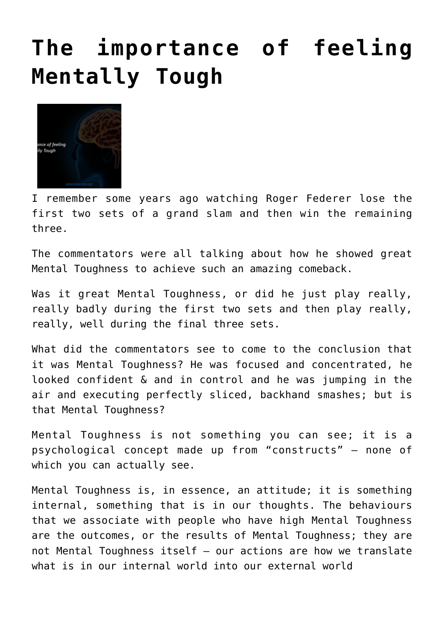## **[The importance of feeling](http://boblarcher.com/mental-toughness/the-importance-of-feeling-mentally-tough/) [Mentally Tough](http://boblarcher.com/mental-toughness/the-importance-of-feeling-mentally-tough/)**



I remember some years ago watching Roger Federer lose the first two sets of a grand slam and then win the remaining three.

The commentators were all talking about how he showed great Mental Toughness to achieve such an amazing comeback.

Was it great Mental Toughness, or did he just play really, really badly during the first two sets and then play really, really, well during the final three sets.

What did the commentators see to come to the conclusion that it was Mental Toughness? He was focused and concentrated, he looked confident & and in control and he was jumping in the air and executing perfectly sliced, backhand smashes; but is that Mental Toughness?

Mental Toughness is not something you can see; it is a psychological concept made up from "constructs" – none of which you can actually see.

Mental Toughness is, in essence, an attitude; it is something internal, something that is in our thoughts. The behaviours that we associate with people who have high Mental Toughness are the outcomes, or the results of Mental Toughness; they are not Mental Toughness itself – our actions are how we translate what is in our internal world into our external world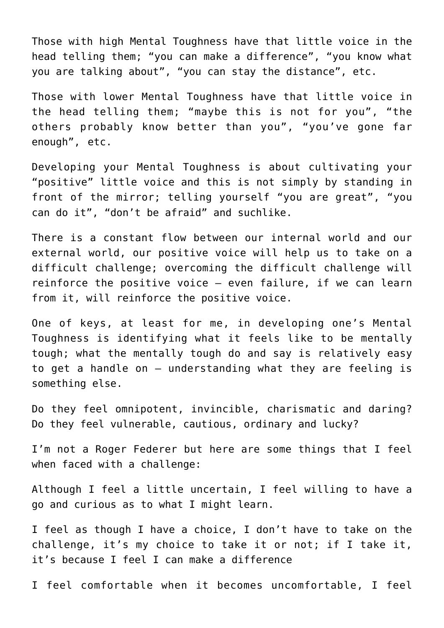Those with high Mental Toughness have that little voice in the head telling them; "you can make a difference", "you know what you are talking about", "you can stay the distance", etc.

Those with lower Mental Toughness have that little voice in the head telling them; "maybe this is not for you", "the others probably know better than you", "you've gone far enough", etc.

Developing your Mental Toughness is about cultivating your "positive" little voice and this is not simply by standing in front of the mirror; telling yourself "you are great", "you can do it", "don't be afraid" and suchlike.

There is a constant flow between our internal world and our external world, our positive voice will help us to take on a difficult challenge; overcoming the difficult challenge will reinforce the positive voice – even failure, if we can learn from it, will reinforce the positive voice.

One of keys, at least for me, in developing one's Mental Toughness is identifying what it feels like to be mentally tough; what the mentally tough do and say is relatively easy to get a handle on – understanding what they are feeling is something else.

Do they feel omnipotent, invincible, charismatic and daring? Do they feel vulnerable, cautious, ordinary and lucky?

I'm not a Roger Federer but here are some things that I feel when faced with a challenge:

Although I feel a little uncertain, I feel willing to have a go and curious as to what I might learn.

I feel as though I have a choice, I don't have to take on the challenge, it's my choice to take it or not; if I take it, it's because I feel I can make a difference

I feel comfortable when it becomes uncomfortable, I feel